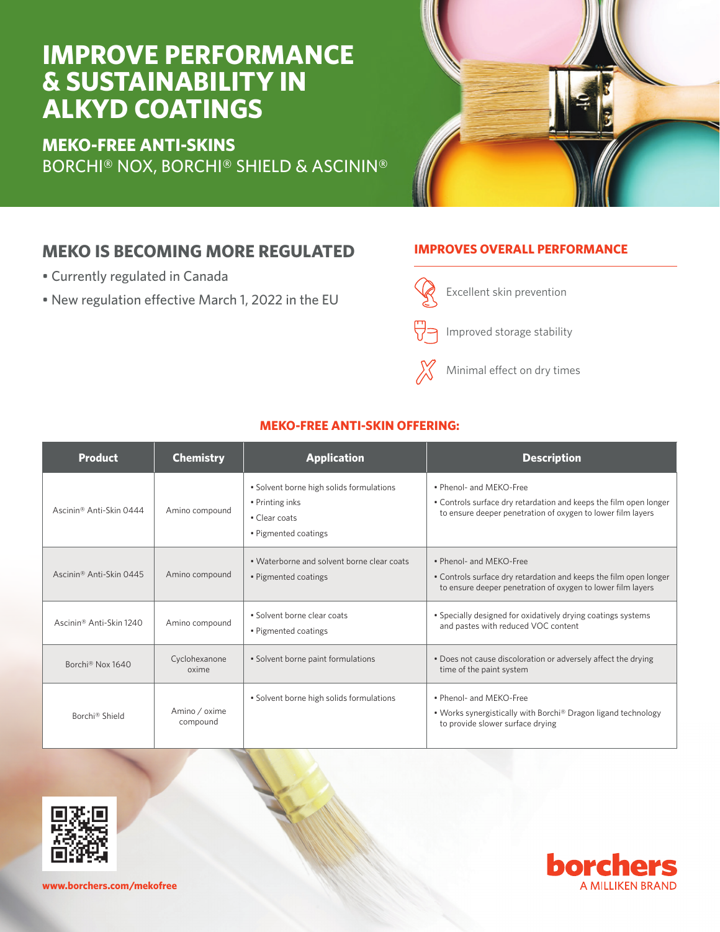# **IMPROVE PERFORMANCE & SUSTAINABILITY IN ALKYD COATINGS**

**MEKO-FREE ANTI-SKINS** BORCHI® NOX, BORCHI® SHIELD & ASCININ®



## **MEKO IS BECOMING MORE REGULATED**

- Currently regulated in Canada
- New regulation effective March 1, 2022 in the EU

### **IMPROVES OVERALL PERFORMANCE**



Minimal effect on dry times

| <b>Product</b>                      | <b>Chemistry</b>          | <b>Application</b>                                                                                   | <b>Description</b>                                                                                                                                          |
|-------------------------------------|---------------------------|------------------------------------------------------------------------------------------------------|-------------------------------------------------------------------------------------------------------------------------------------------------------------|
| Ascinin <sup>®</sup> Anti-Skin 0444 | Amino compound            | • Solvent borne high solids formulations<br>• Printing inks<br>• Clear coats<br>• Pigmented coatings | • Phenol- and MEKO-Free<br>• Controls surface dry retardation and keeps the film open longer<br>to ensure deeper penetration of oxygen to lower film layers |
| Ascinin <sup>®</sup> Anti-Skin 0445 | Amino compound            | • Waterborne and solvent borne clear coats<br>• Pigmented coatings                                   | • Phenol- and MEKO-Free<br>• Controls surface dry retardation and keeps the film open longer<br>to ensure deeper penetration of oxygen to lower film layers |
| Ascinin <sup>®</sup> Anti-Skin 1240 | Amino compound            | · Solvent borne clear coats<br>• Pigmented coatings                                                  | • Specially designed for oxidatively drying coatings systems<br>and pastes with reduced VOC content                                                         |
| Borchi <sup>®</sup> Nox 1640        | Cyclohexanone<br>oxime    | • Solvent borne paint formulations                                                                   | . Does not cause discoloration or adversely affect the drying<br>time of the paint system                                                                   |
| Borchi® Shield                      | Amino / oxime<br>compound | • Solvent borne high solids formulations                                                             | • Phenol- and MEKO-Free<br>• Works synergistically with Borchi® Dragon ligand technology<br>to provide slower surface drying                                |

### **MEKO-FREE ANTI-SKIN OFFERING:**